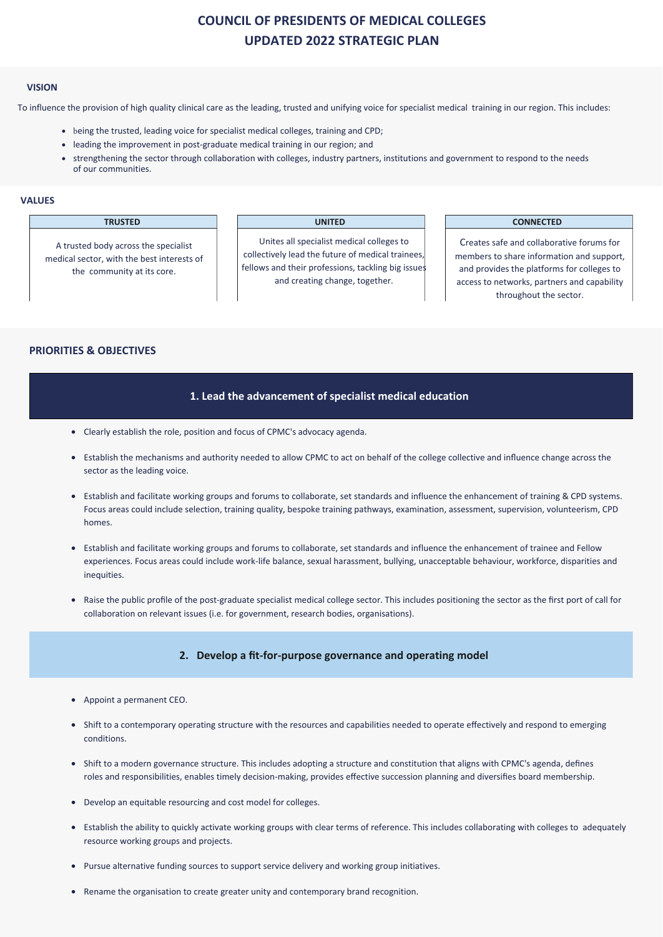# **COUNCIL OF PRESIDENTS OF MEDICAL COLLEGES UPDATED 2022 STRATEGIC PLAN**

#### **VISION**

To influence the provision of high quality clinical care as the leading, trusted and unifying voice for specialist medical training in our region. This includes:

- being the trusted, leading voice for specialist medical colleges, training and CPD;
- leading the improvement in post- graduate medical training in our region; and
- strengthening the sector through collaboration with colleges, industry partners, institutions and government to respond to the needs of our communities.

## **VALUES**

A trusted body across the specialist medical sector, with the best interests of the community at its core.

Unites all specialist medical colleges to collectively lead the future of medical trainees, fellows and their professions, tackling big issue and creating change, together.

#### **TRUSTED UNITED CONNECTED**

Creates safe and collaborative forums for members to share information and support, and provides the platforms for colleges to access to networks, partners and capability throughout the sector.

## **PRIORITIES & OBJECTIVES**

### **1. Lead the advancement of specialist medical education**

- Clearly establish the role, position and focus of CPMC's advocacy agenda.
- Establish the mechanisms and authority needed to allow CPMC to act on behalf of the college collective and influence change across the sector as the leading voice.
- Establish and facilitate working groups and forums to collaborate, set standards and influence the enhancement of training & CPD systems. Focus areas could include selection, training quality, bespoke training pathways, examination, assessment, supervision, volunteerism, CPD homes.
- Establish and facilitate working groups and forums to collaborate, set standards and influence the enhancement of trainee and Fellow experiences. Focus areas could include work-life balance, sexual harassment, bullying, unacceptable behaviour, workforce, disparities and inequities.
- Raise the public profile of the post-graduate specialist medical college sector. This includes positioning the sector as the first port of call for collaboration on relevant issues (i.e. for government, research bodies, organisations).

## **2. Develop a fit-for-purpose governance and operating model**

- Appoint a permanent CEO.
- Shift to a contemporary operating structure with the resources and capabilities needed to operate effectively and respond to emerging conditions.
- Shift to a modern governance structure. This includes adopting a structure and constitution that aligns with CPMC's agenda, defines roles and responsibilities, enables timely decision-making, provides effective succession planning and diversifies board membership.
- Develop an equitable resourcing and cost model for colleges.
- Establish the ability to quickly activate working groups with clear terms of reference. This includes collaborating with colleges to adequately resource working groups and projects.
- Pursue alternative funding sources to support service delivery and working group initiatives.
- Rename the organisation to create greater unity and contemporary brand recognition.